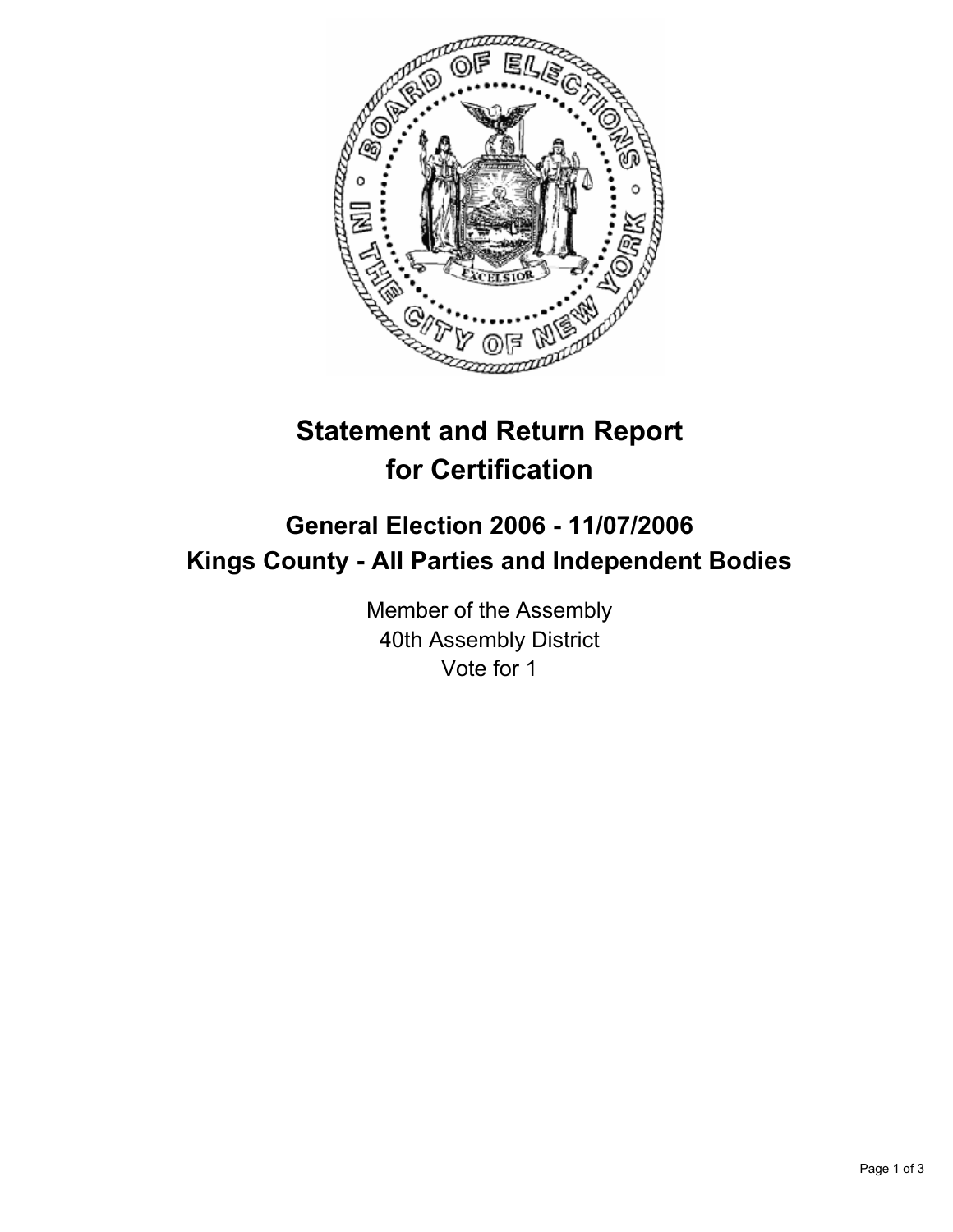

# **Statement and Return Report for Certification**

## **General Election 2006 - 11/07/2006 Kings County - All Parties and Independent Bodies**

Member of the Assembly 40th Assembly District Vote for 1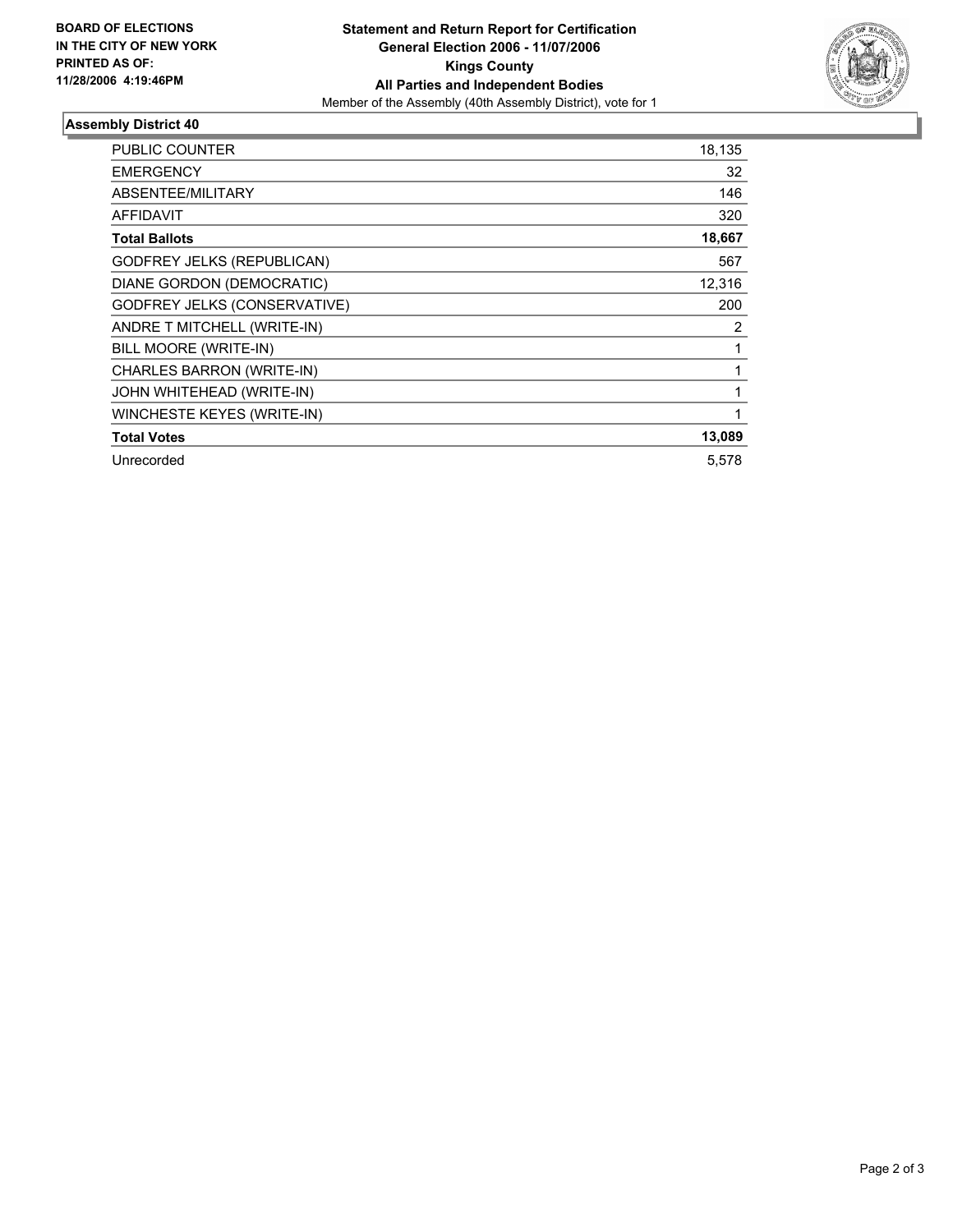

### **Assembly District 40**

| <b>PUBLIC COUNTER</b>               | 18,135 |
|-------------------------------------|--------|
| <b>EMERGENCY</b>                    | 32     |
| ABSENTEE/MILITARY                   | 146    |
| <b>AFFIDAVIT</b>                    | 320    |
| <b>Total Ballots</b>                | 18,667 |
| <b>GODFREY JELKS (REPUBLICAN)</b>   | 567    |
| DIANE GORDON (DEMOCRATIC)           | 12,316 |
| <b>GODFREY JELKS (CONSERVATIVE)</b> | 200    |
| ANDRE T MITCHELL (WRITE-IN)         | 2      |
| BILL MOORE (WRITE-IN)               |        |
| CHARLES BARRON (WRITE-IN)           |        |
| JOHN WHITEHEAD (WRITE-IN)           |        |
| WINCHESTE KEYES (WRITE-IN)          |        |
| <b>Total Votes</b>                  | 13,089 |
| Unrecorded                          | 5,578  |